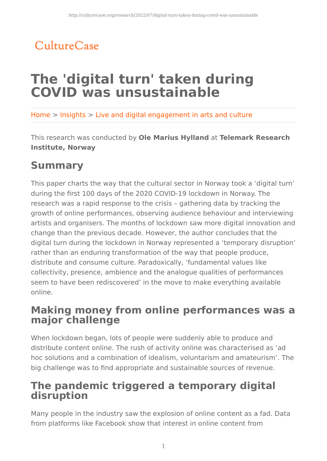## CultureCase

# **The 'digital turn' taken during COVID was unsustainable**

Home > Insights > Live and digital engagement in arts and culture

This research was conducted by **Ole Marius Hylland** at **Telemark Research Institute, Norway**

## **Summary**

This paper charts the way that the cultural sector in Norway took a 'digital turn' during the first 100 days of the 2020 COVID-19 lockdown in Norway. The research was a rapid response to the crisis – gathering data by tracking the growth of online performances, observing audience behaviour and interviewing artists and organisers. The months of lockdown saw more digital innovation and change than the previous decade. However, the author concludes that the digital turn during the lockdown in Norway represented a 'temporary disruption' rather than an enduring transformation of the way that people produce, distribute and consume culture. Paradoxically, 'fundamental values like collectivity, presence, ambience and the analogue qualities of performances seem to have been rediscovered' in the move to make everything available online.

### **Making money from online performances was a major challenge**

When lockdown began, lots of people were suddenly able to produce and distribute content online. The rush of activity online was characterised as 'ad hoc solutions and a combination of idealism, voluntarism and amateurism'. The big challenge was to find appropriate and sustainable sources of revenue.

### **The pandemic triggered a temporary digital disruption**

Many people in the industry saw the explosion of online content as a fad. Data from platforms like Facebook show that interest in online content from